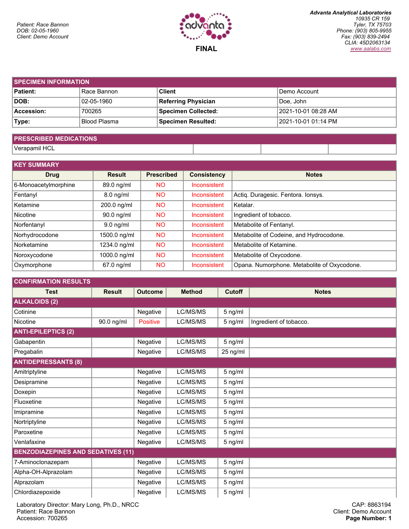

| <b>SPECIMEN INFORMATION</b> |              |                            |                       |  |  |  |
|-----------------------------|--------------|----------------------------|-----------------------|--|--|--|
| <b>Patient:</b>             | Race Bannon  | <b>Client</b>              | l Demo Account        |  |  |  |
| DOB:                        | 02-05-1960   | <b>Referring Physician</b> | ∣Doe. John            |  |  |  |
| Accession:                  | 700265       | Specimen Collected:        | 2021-10-01 08:28 AM   |  |  |  |
| Type:                       | Blood Plasma | Specimen Resulted:         | l 2021-10-01 01:14 PM |  |  |  |
|                             |              |                            |                       |  |  |  |

## **PRESCRIBED MEDICATIONS**

Verapamil HCL

| <b>KEY SUMMARY</b>   |               |                   |                     |                                             |
|----------------------|---------------|-------------------|---------------------|---------------------------------------------|
| <b>Drug</b>          | <b>Result</b> | <b>Prescribed</b> | <b>Consistency</b>  | <b>Notes</b>                                |
| 6-Monoacetylmorphine | 89.0 ng/ml    | <b>NO</b>         | Inconsistent        |                                             |
| Fentanyl             | $8.0$ ng/ml   | <b>NO</b>         | Inconsistent        | Actiq. Duragesic. Fentora. Ionsys.          |
| Ketamine             | 200.0 ng/ml   | <b>NO</b>         | <b>Inconsistent</b> | Ketalar.                                    |
| Nicotine             | $90.0$ ng/ml  | <b>NO</b>         | <b>Inconsistent</b> | Ingredient of tobacco.                      |
| Norfentanyl          | $9.0$ ng/ml   | <b>NO</b>         | <b>Inconsistent</b> | Metabolite of Fentanyl.                     |
| Norhydrocodone       | 1500.0 ng/ml  | <b>NO</b>         | Inconsistent        | Metabolite of Codeine, and Hydrocodone.     |
| Norketamine          | 1234.0 ng/ml  | <b>NO</b>         | Inconsistent        | Metabolite of Ketamine.                     |
| Noroxycodone         | 1000.0 ng/ml  | <b>NO</b>         | Inconsistent        | Metabolite of Oxycodone.                    |
| Oxymorphone          | $67.0$ ng/ml  | <b>NO</b>         | Inconsistent        | Opana. Numorphone. Metabolite of Oxycodone. |

| <b>CONFIRMATION RESULTS</b>               |               |                 |               |               |                        |
|-------------------------------------------|---------------|-----------------|---------------|---------------|------------------------|
| <b>Test</b>                               | <b>Result</b> | <b>Outcome</b>  | <b>Method</b> | <b>Cutoff</b> | <b>Notes</b>           |
| <b>ALKALOIDS (2)</b>                      |               |                 |               |               |                        |
| Cotinine                                  |               | Negative        | LC/MS/MS      | 5 ng/ml       |                        |
| Nicotine                                  | 90.0 ng/ml    | <b>Positive</b> | LC/MS/MS      | 5 ng/ml       | Ingredient of tobacco. |
| <b>ANTI-EPILEPTICS (2)</b>                |               |                 |               |               |                        |
| Gabapentin                                |               | Negative        | LC/MS/MS      | 5 ng/ml       |                        |
| Pregabalin                                |               | Negative        | LC/MS/MS      | 25 ng/ml      |                        |
| <b>ANTIDEPRESSANTS (8)</b>                |               |                 |               |               |                        |
| Amitriptyline                             |               | Negative        | LC/MS/MS      | 5 ng/ml       |                        |
| Desipramine                               |               | Negative        | LC/MS/MS      | 5 ng/ml       |                        |
| Doxepin                                   |               | Negative        | LC/MS/MS      | 5 ng/ml       |                        |
| Fluoxetine                                |               | Negative        | LC/MS/MS      | 5 ng/ml       |                        |
| Imipramine                                |               | Negative        | LC/MS/MS      | 5 ng/ml       |                        |
| Nortriptyline                             |               | Negative        | LC/MS/MS      | 5 ng/ml       |                        |
| Paroxetine                                |               | Negative        | LC/MS/MS      | 5 ng/ml       |                        |
| Venlafaxine                               |               | Negative        | LC/MS/MS      | 5 ng/ml       |                        |
| <b>BENZODIAZEPINES AND SEDATIVES (11)</b> |               |                 |               |               |                        |
| 7-Aminoclonazepam                         |               | Negative        | LC/MS/MS      | 5 ng/ml       |                        |
| Alpha-OH-Alprazolam                       |               | Negative        | LC/MS/MS      | 5 ng/ml       |                        |
| Alprazolam                                |               | Negative        | LC/MS/MS      | 5 ng/ml       |                        |
| Chlordiazepoxide                          |               | Negative        | LC/MS/MS      | 5 ng/ml       |                        |

Laboratory Director: Mary Long, Ph.D., NRCC Patient: Race Bannon Accession: 700265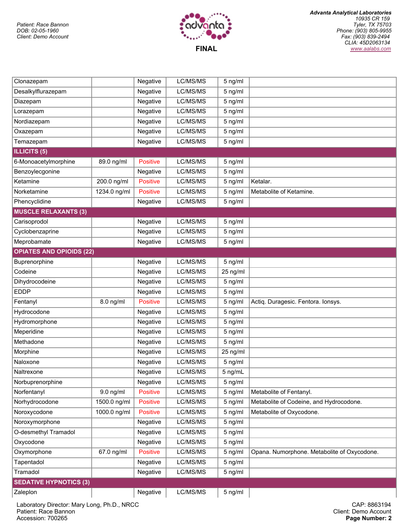

| Clonazepam                      |              | Negative        | LC/MS/MS | 5 ng/ml  |                                             |
|---------------------------------|--------------|-----------------|----------|----------|---------------------------------------------|
| Desalkylflurazepam              |              | Negative        | LC/MS/MS | 5 ng/ml  |                                             |
| Diazepam                        |              | Negative        | LC/MS/MS | 5 ng/ml  |                                             |
| Lorazepam                       |              | Negative        | LC/MS/MS | 5 ng/ml  |                                             |
| Nordiazepam                     |              | Negative        | LC/MS/MS | 5 ng/ml  |                                             |
| Oxazepam                        |              | Negative        | LC/MS/MS | 5 ng/ml  |                                             |
| Temazepam                       |              | Negative        | LC/MS/MS | 5 ng/ml  |                                             |
| <b>ILLICITS (5)</b>             |              |                 |          |          |                                             |
| 6-Monoacetylmorphine            | 89.0 ng/ml   | <b>Positive</b> | LC/MS/MS | 5 ng/ml  |                                             |
| Benzoylecgonine                 |              | Negative        | LC/MS/MS | 5 ng/ml  |                                             |
| Ketamine                        | 200.0 ng/ml  | <b>Positive</b> | LC/MS/MS | 5 ng/ml  | Ketalar.                                    |
| Norketamine                     | 1234.0 ng/ml | <b>Positive</b> | LC/MS/MS | 5 ng/ml  | Metabolite of Ketamine.                     |
| Phencyclidine                   |              | Negative        | LC/MS/MS | 5 ng/ml  |                                             |
| <b>MUSCLE RELAXANTS (3)</b>     |              |                 |          |          |                                             |
| Carisoprodol                    |              | Negative        | LC/MS/MS | 5 ng/ml  |                                             |
| Cyclobenzaprine                 |              | Negative        | LC/MS/MS | 5 ng/ml  |                                             |
| Meprobamate                     |              | Negative        | LC/MS/MS | 5 ng/ml  |                                             |
| <b>OPIATES AND OPIOIDS (22)</b> |              |                 |          |          |                                             |
| Buprenorphine                   |              | Negative        | LC/MS/MS | 5 ng/ml  |                                             |
| Codeine                         |              | Negative        | LC/MS/MS | 25 ng/ml |                                             |
| Dihydrocodeine                  |              | Negative        | LC/MS/MS | 5 ng/ml  |                                             |
| <b>EDDP</b>                     |              | Negative        | LC/MS/MS | 5 ng/ml  |                                             |
| Fentanyl                        | 8.0 ng/ml    | <b>Positive</b> | LC/MS/MS | 5 ng/ml  | Actiq. Duragesic. Fentora. Ionsys.          |
| Hydrocodone                     |              | Negative        | LC/MS/MS | 5 ng/ml  |                                             |
| Hydromorphone                   |              | Negative        | LC/MS/MS | 5 ng/ml  |                                             |
| Meperidine                      |              | Negative        | LC/MS/MS | 5 ng/ml  |                                             |
| Methadone                       |              | Negative        | LC/MS/MS | 5 ng/ml  |                                             |
| Morphine                        |              | Negative        | LC/MS/MS | 25 ng/ml |                                             |
| Naloxone                        |              | Negative        | LC/MS/MS | 5 ng/ml  |                                             |
| Naltrexone                      |              | Negative        | LC/MS/MS | 5 ng/mL  |                                             |
| Norbuprenorphine                |              | Negative        | LC/MS/MS | 5 ng/ml  |                                             |
| Norfentanyl                     | 9.0 ng/ml    | <b>Positive</b> | LC/MS/MS | 5 ng/ml  | Metabolite of Fentanyl.                     |
| Norhydrocodone                  | 1500.0 ng/ml | <b>Positive</b> | LC/MS/MS | 5 ng/ml  | Metabolite of Codeine, and Hydrocodone.     |
| Noroxycodone                    | 1000.0 ng/ml | <b>Positive</b> | LC/MS/MS | 5 ng/ml  | Metabolite of Oxycodone.                    |
| Noroxymorphone                  |              | Negative        | LC/MS/MS | 5 ng/ml  |                                             |
| O-desmethyl Tramadol            |              | Negative        | LC/MS/MS | 5 ng/ml  |                                             |
| Oxycodone                       |              | Negative        | LC/MS/MS | 5 ng/ml  |                                             |
| Oxymorphone                     | 67.0 ng/ml   | <b>Positive</b> | LC/MS/MS | 5 ng/ml  | Opana. Numorphone. Metabolite of Oxycodone. |
| Tapentadol                      |              | Negative        | LC/MS/MS | 5 ng/ml  |                                             |
| Tramadol                        |              | Negative        | LC/MS/MS | 5 ng/ml  |                                             |
| <b>SEDATIVE HYPNOTICS (3)</b>   |              |                 |          |          |                                             |
| Zaleplon                        |              | Negative        | LC/MS/MS | 5 ng/ml  |                                             |

Laboratory Director: Mary Long, Ph.D., NRCC Patient: Race Bannon Accession: 700265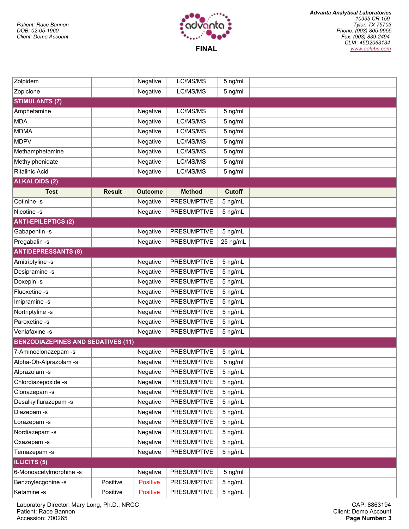

| Zolpidem                                  |               | Negative        | LC/MS/MS           | 5 ng/ml       |  |  |  |  |
|-------------------------------------------|---------------|-----------------|--------------------|---------------|--|--|--|--|
| Zopiclone                                 |               | Negative        | LC/MS/MS           | 5 ng/ml       |  |  |  |  |
| <b>STIMULANTS (7)</b>                     |               |                 |                    |               |  |  |  |  |
| Amphetamine                               |               | Negative        | LC/MS/MS           | 5 ng/ml       |  |  |  |  |
| <b>MDA</b>                                |               | Negative        | LC/MS/MS           | 5 ng/ml       |  |  |  |  |
| <b>MDMA</b>                               |               | Negative        | LC/MS/MS           | 5 ng/ml       |  |  |  |  |
| <b>MDPV</b>                               |               | Negative        | LC/MS/MS           | 5 ng/ml       |  |  |  |  |
| Methamphetamine                           |               | Negative        | LC/MS/MS           | 5 ng/ml       |  |  |  |  |
| Methylphenidate                           |               | Negative        | LC/MS/MS           | 5 ng/ml       |  |  |  |  |
| <b>Ritalinic Acid</b>                     |               | Negative        | LC/MS/MS           | 5 ng/ml       |  |  |  |  |
| <b>ALKALOIDS (2)</b>                      |               |                 |                    |               |  |  |  |  |
| <b>Test</b>                               | <b>Result</b> | <b>Outcome</b>  | <b>Method</b>      | <b>Cutoff</b> |  |  |  |  |
| Cotinine -s                               |               | Negative        | <b>PRESUMPTIVE</b> | 5 ng/mL       |  |  |  |  |
| Nicotine -s                               |               | Negative        | <b>PRESUMPTIVE</b> | 5 ng/mL       |  |  |  |  |
| <b>ANTI-EPILEPTICS (2)</b>                |               |                 |                    |               |  |  |  |  |
| Gabapentin -s                             |               | Negative        | <b>PRESUMPTIVE</b> | 5 ng/mL       |  |  |  |  |
| Pregabalin -s                             |               | Negative        | <b>PRESUMPTIVE</b> | 25 ng/mL      |  |  |  |  |
| <b>ANTIDEPRESSANTS (8)</b>                |               |                 |                    |               |  |  |  |  |
| Amitriptyline -s                          |               | Negative        | <b>PRESUMPTIVE</b> | 5 ng/mL       |  |  |  |  |
| Desipramine -s                            |               | Negative        | <b>PRESUMPTIVE</b> | 5 ng/mL       |  |  |  |  |
| Doxepin -s                                |               | Negative        | <b>PRESUMPTIVE</b> | 5 ng/mL       |  |  |  |  |
| Fluoxetine -s                             |               | Negative        | <b>PRESUMPTIVE</b> | 5 ng/mL       |  |  |  |  |
| Imipramine -s                             |               | Negative        | <b>PRESUMPTIVE</b> | 5 ng/mL       |  |  |  |  |
| Nortriptyline -s                          |               | Negative        | <b>PRESUMPTIVE</b> | 5 ng/mL       |  |  |  |  |
| Paroxetine -s                             |               | Negative        | <b>PRESUMPTIVE</b> | 5 ng/mL       |  |  |  |  |
| Venlafaxine -s                            |               | Negative        | <b>PRESUMPTIVE</b> | 5 ng/mL       |  |  |  |  |
| <b>BENZODIAZEPINES AND SEDATIVES (11)</b> |               |                 |                    |               |  |  |  |  |
| 7-Aminoclonazepam -s                      |               | Negative        | <b>PRESUMPTIVE</b> | 5 ng/mL       |  |  |  |  |
| Alpha-Oh-Alprazolam -s                    |               | Negative        | <b>PRESUMPTIVE</b> | 5 ng/ml       |  |  |  |  |
| Alprazolam -s                             |               | Negative        | <b>PRESUMPTIVE</b> | 5 ng/mL       |  |  |  |  |
| Chlordiazepoxide -s                       |               | Negative        | <b>PRESUMPTIVE</b> | 5 ng/mL       |  |  |  |  |
| Clonazepam -s                             |               | Negative        | <b>PRESUMPTIVE</b> | 5 ng/mL       |  |  |  |  |
| Desalkylflurazepam -s                     |               | Negative        | <b>PRESUMPTIVE</b> | 5 ng/mL       |  |  |  |  |
| Diazepam-s                                |               | Negative        | <b>PRESUMPTIVE</b> | 5 ng/mL       |  |  |  |  |
| Lorazepam-s                               |               | Negative        | <b>PRESUMPTIVE</b> | 5 ng/mL       |  |  |  |  |
| Nordiazepam -s                            |               | Negative        | <b>PRESUMPTIVE</b> | 5 ng/mL       |  |  |  |  |
| Oxazepam -s                               |               | Negative        | <b>PRESUMPTIVE</b> | 5 ng/mL       |  |  |  |  |
| Temazepam -s                              |               | Negative        | <b>PRESUMPTIVE</b> | 5 ng/mL       |  |  |  |  |
| <b>ILLICITS (5)</b>                       |               |                 |                    |               |  |  |  |  |
| 6-Monoacetylmorphine -s                   |               | Negative        | <b>PRESUMPTIVE</b> | 5 ng/ml       |  |  |  |  |
| Benzoylecgonine -s                        | Positive      | <b>Positive</b> | <b>PRESUMPTIVE</b> | 5 ng/mL       |  |  |  |  |
| Ketamine -s                               | Positive      | <b>Positive</b> | <b>PRESUMPTIVE</b> | 5 ng/mL       |  |  |  |  |

Laboratory Director: Mary Long, Ph.D., NRCC Patient: Race Bannon Accession: 700265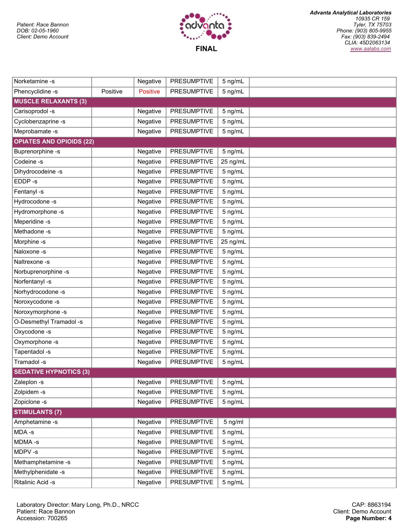

| Norketamine -s                  |          | Negative        | <b>PRESUMPTIVE</b> | 5 ng/mL  |  |
|---------------------------------|----------|-----------------|--------------------|----------|--|
| Phencyclidine -s                | Positive | <b>Positive</b> | <b>PRESUMPTIVE</b> | 5 ng/mL  |  |
| <b>MUSCLE RELAXANTS (3)</b>     |          |                 |                    |          |  |
| Carisoprodol -s                 |          | Negative        | <b>PRESUMPTIVE</b> | 5 ng/mL  |  |
| Cyclobenzaprine -s              |          | Negative        | <b>PRESUMPTIVE</b> | 5 ng/mL  |  |
| Meprobamate -s                  |          | Negative        | <b>PRESUMPTIVE</b> | 5 ng/mL  |  |
| <b>OPIATES AND OPIOIDS (22)</b> |          |                 |                    |          |  |
| Buprenorphine -s                |          | Negative        | <b>PRESUMPTIVE</b> | 5 ng/mL  |  |
| Codeine -s                      |          | Negative        | <b>PRESUMPTIVE</b> | 25 ng/mL |  |
| Dihydrocodeine -s               |          | Negative        | <b>PRESUMPTIVE</b> | 5 ng/mL  |  |
| EDDP-s                          |          | Negative        | <b>PRESUMPTIVE</b> | 5 ng/mL  |  |
| Fentanyl -s                     |          | Negative        | <b>PRESUMPTIVE</b> | 5 ng/mL  |  |
| Hydrocodone -s                  |          | Negative        | <b>PRESUMPTIVE</b> | 5 ng/mL  |  |
| Hydromorphone -s                |          | Negative        | <b>PRESUMPTIVE</b> | 5 ng/mL  |  |
| Meperidine -s                   |          | Negative        | <b>PRESUMPTIVE</b> | 5 ng/mL  |  |
| Methadone-s                     |          | Negative        | <b>PRESUMPTIVE</b> | 5 ng/mL  |  |
| Morphine -s                     |          | Negative        | <b>PRESUMPTIVE</b> | 25 ng/mL |  |
| Naloxone -s                     |          | Negative        | <b>PRESUMPTIVE</b> | 5 ng/mL  |  |
| Naltrexone -s                   |          | Negative        | <b>PRESUMPTIVE</b> | 5 ng/mL  |  |
| Norbuprenorphine -s             |          | Negative        | <b>PRESUMPTIVE</b> | 5 ng/mL  |  |
| Norfentanyl -s                  |          | Negative        | <b>PRESUMPTIVE</b> | 5 ng/mL  |  |
| Norhydrocodone -s               |          | Negative        | <b>PRESUMPTIVE</b> | 5 ng/mL  |  |
| Noroxycodone -s                 |          | Negative        | <b>PRESUMPTIVE</b> | 5 ng/mL  |  |
| Noroxymorphone -s               |          | Negative        | <b>PRESUMPTIVE</b> | 5 ng/mL  |  |
| O-Desmethyl Tramadol -s         |          | Negative        | <b>PRESUMPTIVE</b> | 5 ng/mL  |  |
| Oxycodone -s                    |          | Negative        | <b>PRESUMPTIVE</b> | 5 ng/mL  |  |
| Oxymorphone -s                  |          | Negative        | <b>PRESUMPTIVE</b> | 5 ng/mL  |  |
| Tapentadol -s                   |          | Negative        | <b>PRESUMPTIVE</b> | 5 ng/mL  |  |
| Tramadol-s                      |          | Negative        | <b>PRESUMPTIVE</b> | 5 ng/mL  |  |
| <b>SEDATIVE HYPNOTICS (3)</b>   |          |                 |                    |          |  |
| Zaleplon -s                     |          | Negative        | <b>PRESUMPTIVE</b> | 5 ng/mL  |  |
| Zolpidem -s                     |          | Negative        | <b>PRESUMPTIVE</b> | 5 ng/mL  |  |
| Zopiclone -s                    |          | Negative        | <b>PRESUMPTIVE</b> | 5 ng/mL  |  |
| <b>STIMULANTS (7)</b>           |          |                 |                    |          |  |
| Amphetamine -s                  |          | Negative        | <b>PRESUMPTIVE</b> | 5 ng/ml  |  |
| MDA-s                           |          | Negative        | <b>PRESUMPTIVE</b> | 5 ng/mL  |  |
| MDMA-s                          |          | Negative        | <b>PRESUMPTIVE</b> | 5 ng/mL  |  |
| MDPV-s                          |          | Negative        | <b>PRESUMPTIVE</b> | 5 ng/mL  |  |
| Methamphetamine -s              |          | Negative        | <b>PRESUMPTIVE</b> | 5 ng/mL  |  |
| Methylphenidate -s              |          | Negative        | <b>PRESUMPTIVE</b> | 5 ng/mL  |  |
| Ritalinic Acid -s               |          | Negative        | <b>PRESUMPTIVE</b> | 5 ng/mL  |  |